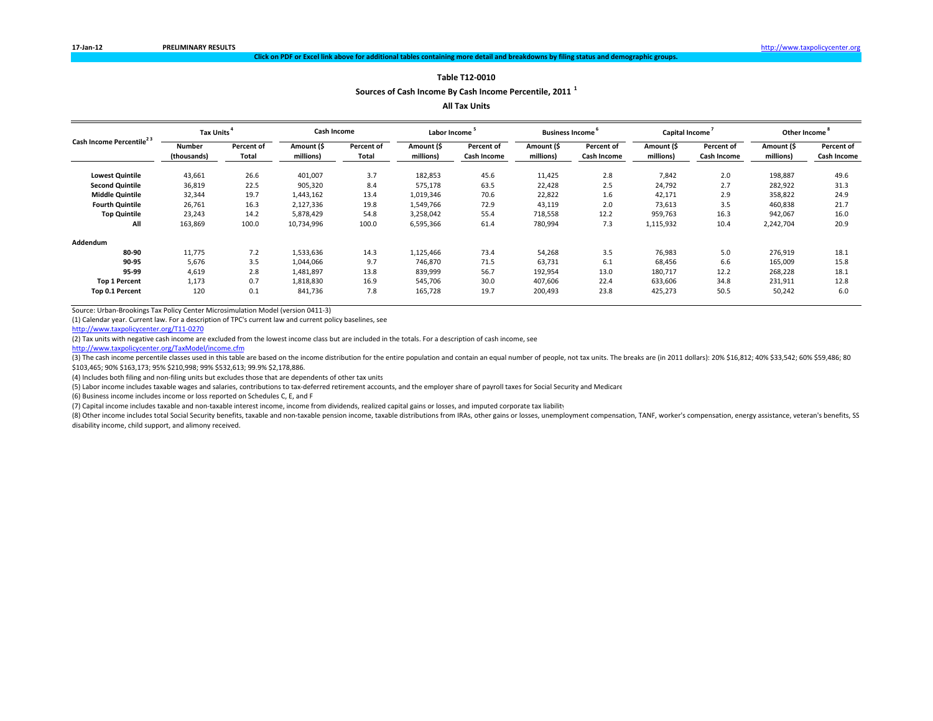**Sources of Cash Income By Cash Income Percentile, <sup>2011</sup> <sup>1</sup>**

**All Tax Units**

| Cash Income Percentile <sup>23</sup><br><b>Lowest Quintile</b><br><b>Second Quintile</b><br><b>Middle Quintile</b><br><b>Fourth Quintile</b><br><b>Top Quintile</b><br>All<br>Addendum<br>80-90<br>90-95<br>95-99 | Tax Units <sup>*</sup> |                            | Cash Income             |                            | Labor Income            |                           | <b>Business Income</b>  |                           | Capital Income          |                           | Other Income <sup>°</sup> |                           |
|-------------------------------------------------------------------------------------------------------------------------------------------------------------------------------------------------------------------|------------------------|----------------------------|-------------------------|----------------------------|-------------------------|---------------------------|-------------------------|---------------------------|-------------------------|---------------------------|---------------------------|---------------------------|
|                                                                                                                                                                                                                   | Number<br>(thousands)  | <b>Percent of</b><br>Total | Amount (\$<br>millions) | <b>Percent of</b><br>Total | Amount (\$<br>millions) | Percent of<br>Cash Income | Amount (\$<br>millions) | Percent of<br>Cash Income | Amount (\$<br>millions) | Percent of<br>Cash Income | Amount (\$<br>millions)   | Percent of<br>Cash Income |
|                                                                                                                                                                                                                   | 43,661                 | 26.6                       | 401,007                 | 3.7                        | 182,853                 | 45.6                      | 11,425                  | 2.8                       | 7,842                   | 2.0                       | 198,887                   | 49.6                      |
|                                                                                                                                                                                                                   | 36,819                 | 22.5                       | 905,320                 | 8.4                        | 575,178                 | 63.5                      | 22,428                  | 2.5                       | 24,792                  | 2.7                       | 282,922                   | 31.3                      |
|                                                                                                                                                                                                                   | 32,344                 | 19.7                       | 1,443,162               | 13.4                       | 1,019,346               | 70.6                      | 22,822                  | 1.6                       | 42,171                  | 2.9                       | 358,822                   | 24.9                      |
|                                                                                                                                                                                                                   | 26,761                 | 16.3                       | 2,127,336               | 19.8                       | 1,549,766               | 72.9                      | 43,119                  | 2.0                       | 73,613                  | 3.5                       | 460,838                   | 21.7                      |
|                                                                                                                                                                                                                   | 23,243                 | 14.2                       | 5,878,429               | 54.8                       | 3,258,042               | 55.4                      | 718,558                 | 12.2                      | 959,763                 | 16.3                      | 942,067                   | 16.0                      |
|                                                                                                                                                                                                                   | 163,869                | 100.0                      | 10,734,996              | 100.0                      | 6,595,366               | 61.4                      | 780,994                 | 7.3                       | 1,115,932               | 10.4                      | 2,242,704                 | 20.9                      |
|                                                                                                                                                                                                                   |                        |                            |                         |                            |                         |                           |                         |                           |                         |                           |                           |                           |
|                                                                                                                                                                                                                   | 11,775                 | 7.2                        | 1,533,636               | 14.3                       | 1,125,466               | 73.4                      | 54,268                  | 3.5                       | 76,983                  | 5.0                       | 276,919                   | 18.1                      |
|                                                                                                                                                                                                                   | 5,676                  | 3.5                        | 1,044,066               | 9.7                        | 746,870                 | 71.5                      | 63,731                  | 6.1                       | 68,456                  | 6.6                       | 165,009                   | 15.8                      |
|                                                                                                                                                                                                                   | 4,619                  | 2.8                        | 1,481,897               | 13.8                       | 839,999                 | 56.7                      | 192,954                 | 13.0                      | 180,717                 | 12.2                      | 268,228                   | 18.1                      |
| <b>Top 1 Percent</b>                                                                                                                                                                                              | 1,173                  | 0.7                        | 1,818,830               | 16.9                       | 545,706                 | 30.0                      | 407,606                 | 22.4                      | 633,606                 | 34.8                      | 231,911                   | 12.8                      |
| Top 0.1 Percent                                                                                                                                                                                                   | 120                    | 0.1                        | 841,736                 | 7.8                        | 165,728                 | 19.7                      | 200,493                 | 23.8                      | 425,273                 | 50.5                      | 50,242                    | 6.0                       |

Source: Urban‐Brookings Tax Policy Center Microsimulation Model (version 0411‐3)

(1) Calendar year. Current law. For <sup>a</sup> description of TPC's current law and current policy baselines, see

http://www.taxpolicycenter.org/T11‐0270

(2) Tax units with negative cash income are excluded from the lowest income class but are included in the totals. For <sup>a</sup> description of cash income, see

http://www.taxpolicycenter.org/TaxModel/income.cfm

(3) The cash income percentile classes used in this table are based on the income distribution for the entire population and contain an equal number of people, not tax units. The breaks are (in 2011 dollars): 20% \$16,812; \$103,465; 90% \$163,173; 95% \$210,998; 99% \$532,613; 99.9% \$2,178,886.

(4) Includes both filing and non-filing units but excludes those that are dependents of other tax units

(5) Labor income includes taxable wages and salaries, contributions to tax‐deferred retirement accounts, and the employer share of payroll taxes for Social Security and Medicare

(6) Business income includes income or loss reported on Schedules C, E, and F

(7) Capital income includes taxable and non‐taxable interest income, income from dividends, realized capital gains or losses, and imputed corporate tax liability

(8) Other income includes total Social Security benefits, taxable and non-taxable pension income, taxable distributions from IRAs, other gains or losses, unemployment compensation, TANF, worker's compensation, energy assis disability income, child support, and alimony received.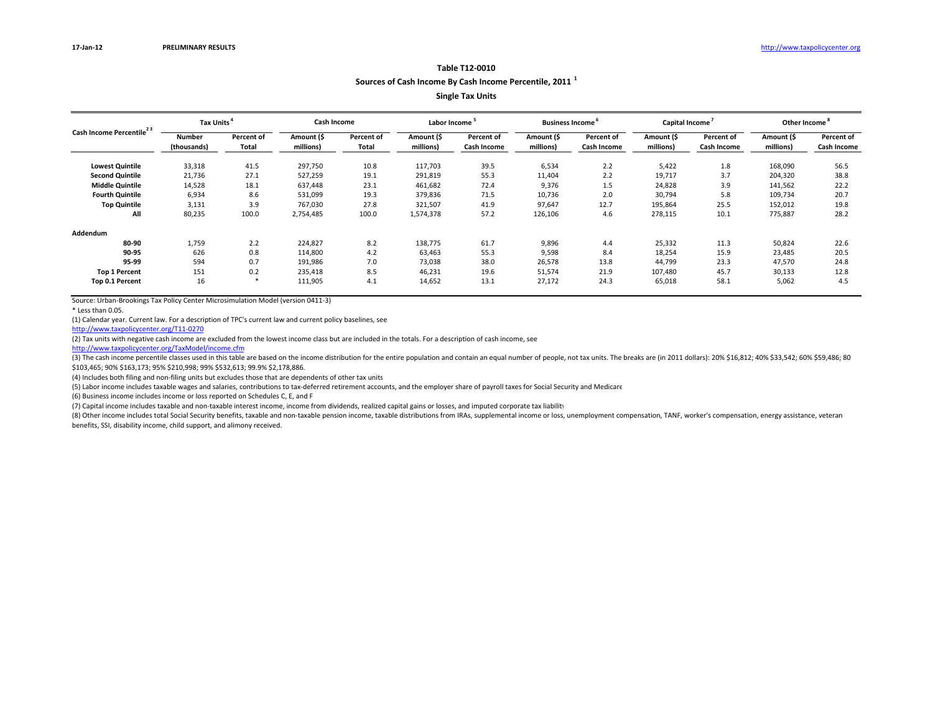**Sources of Cash Income By Cash Income Percentile, <sup>2011</sup> <sup>1</sup>**

**Single Tax Units**

|                                      | Tax Units <sup>4</sup> |            | Cash Income |            | Labor Income |                   | <b>Business Income</b> |             | Capital Income |             | Other Income <sup>°</sup> |             |
|--------------------------------------|------------------------|------------|-------------|------------|--------------|-------------------|------------------------|-------------|----------------|-------------|---------------------------|-------------|
| Cash Income Percentile <sup>23</sup> | Number                 | Percent of | Amount (\$  | Percent of | Amount (\$   | <b>Percent of</b> | Amount (\$             | Percent of  | Amount (\$     | Percent of  | Amount (\$                | Percent of  |
|                                      | (thousands)            | Total      | millions)   | Total      | millions)    | Cash Income       | millions)              | Cash Income | millions)      | Cash Income | millions)                 | Cash Income |
| <b>Lowest Quintile</b>               | 33,318                 | 41.5       | 297,750     | 10.8       | 117,703      | 39.5              | 6,534                  | 2.2         | 5,422          | 1.8         | 168,090                   | 56.5        |
| <b>Second Quintile</b>               | 21,736                 | 27.1       | 527,259     | 19.1       | 291,819      | 55.3              | 11,404                 | 2.2         | 19,717         | 3.7         | 204,320                   | 38.8        |
| <b>Middle Quintile</b>               | 14,528                 | 18.1       | 637,448     | 23.1       | 461,682      | 72.4              | 9,376                  | 1.5         | 24,828         | 3.9         | 141,562                   | 22.2        |
| <b>Fourth Quintile</b>               | 6,934                  | 8.6        | 531,099     | 19.3       | 379,836      | 71.5              | 10,736                 | 2.0         | 30,794         | 5.8         | 109,734                   | 20.7        |
| <b>Top Quintile</b>                  | 3,131                  | 3.9        | 767,030     | 27.8       | 321,507      | 41.9              | 97,647                 | 12.7        | 195,864        | 25.5        | 152,012                   | 19.8        |
| All                                  | 80,235                 | 100.0      | 2,754,485   | 100.0      | 1,574,378    | 57.2              | 126,106                | 4.6         | 278,115        | 10.1        | 775,887                   | 28.2        |
| Addendum                             |                        |            |             |            |              |                   |                        |             |                |             |                           |             |
| 80-90                                | 1,759                  | 2.2        | 224,827     | 8.2        | 138,775      | 61.7              | 9,896                  | 4.4         | 25,332         | 11.3        | 50,824                    | 22.6        |
| 90-95                                | 626                    | 0.8        | 114,800     | 4.2        | 63,463       | 55.3              | 9,598                  | 8.4         | 18,254         | 15.9        | 23,485                    | 20.5        |
| 95-99                                | 594                    | 0.7        | 191,986     | 7.0        | 73,038       | 38.0              | 26,578                 | 13.8        | 44,799         | 23.3        | 47,570                    | 24.8        |
| <b>Top 1 Percent</b>                 | 151                    | 0.2        | 235,418     | 8.5        | 46,231       | 19.6              | 51,574                 | 21.9        | 107,480        | 45.7        | 30,133                    | 12.8        |
| Top 0.1 Percent                      | 16                     | - 36       | 111,905     | 4.1        | 14,652       | 13.1              | 27,172                 | 24.3        | 65,018         | 58.1        | 5,062                     | 4.5         |

Source: Urban‐Brookings Tax Policy Center Microsimulation Model (version 0411‐3)

\* Less than 0.05.

(1) Calendar year. Current law. For <sup>a</sup> description of TPC's current law and current policy baselines, see

http://www.taxpolicycenter.org/T11‐0270

(2) Tax units with negative cash income are excluded from the lowest income class but are included in the totals. For <sup>a</sup> description of cash income, see

http://www.taxpolicycenter.org/TaxModel/income.cfm

(3) The cash income percentile classes used in this table are based on the income distribution for the entire population and contain an equal number of people, not tax units. The breaks are (in 2011 dollars): 20% \$16,812; \$103,465; 90% \$163,173; 95% \$210,998; 99% \$532,613; 99.9% \$2,178,886.

(4) Includes both filing and non-filing units but excludes those that are dependents of other tax units

(5) Labor income includes taxable wages and salaries, contributions to tax‐deferred retirement accounts, and the employer share of payroll taxes for Social Security and Medicare

(6) Business income includes income or loss reported on Schedules C, E, and F

(7) Capital income includes taxable and non‐taxable interest income, income from dividends, realized capital gains or losses, and imputed corporate tax liability

(8) Other income includes total Social Security benefits, taxable and non-taxable pension income, taxable distributions from IRAs, supplemental income or loss, unemployment compensation, TANF, worker's compensation, energy benefits, SSI, disability income, child support, and alimony received.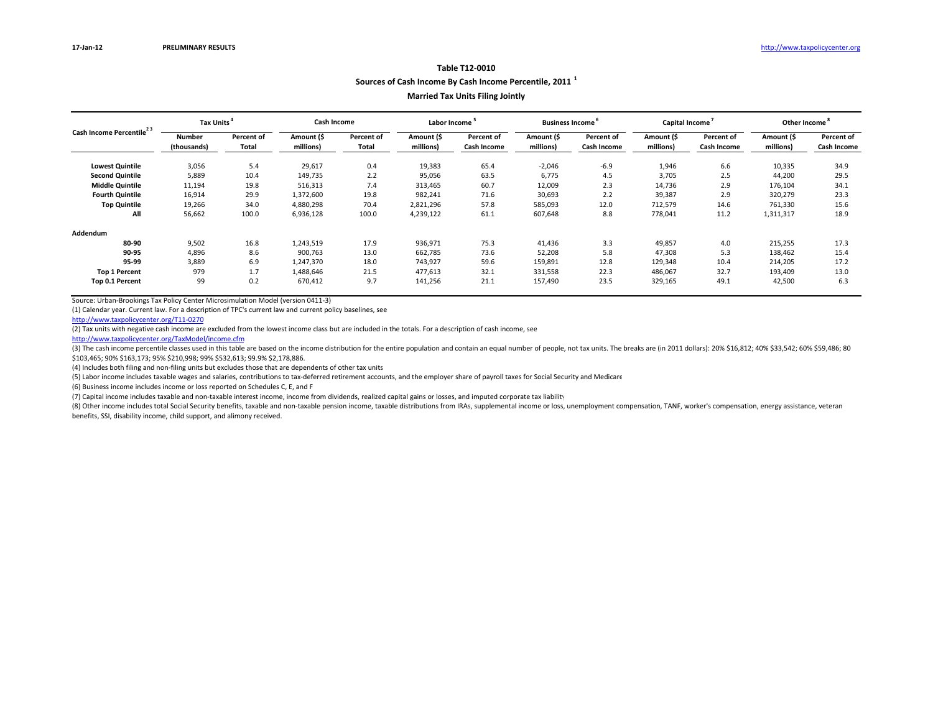# **Table T12‐0010Sources of Cash Income By Cash Income Percentile, <sup>2011</sup> <sup>1</sup>**

## **Married Tax Units Filing Jointly**

|                                                                                                                                              | Tax Units <sup>4</sup>       |                            | <b>Cash Income</b>      |                     | Labor Income <sup>5</sup> |                           | <b>Business Income</b>  |                           | Capital Income          |                           | Other Income <sup>®</sup> |                           |
|----------------------------------------------------------------------------------------------------------------------------------------------|------------------------------|----------------------------|-------------------------|---------------------|---------------------------|---------------------------|-------------------------|---------------------------|-------------------------|---------------------------|---------------------------|---------------------------|
| Cash Income Percentile <sup>23</sup><br><b>Lowest Quintile</b><br><b>Second Quintile</b><br><b>Middle Quintile</b><br><b>Fourth Quintile</b> | <b>Number</b><br>(thousands) | <b>Percent of</b><br>Total | Amount (\$<br>millions) | Percent of<br>Total | Amount (\$<br>millions)   | Percent of<br>Cash Income | Amount (\$<br>millions) | Percent of<br>Cash Income | Amount (\$<br>millions) | Percent of<br>Cash Income | Amount (\$<br>millions)   | Percent of<br>Cash Income |
|                                                                                                                                              | 3,056                        | 5.4                        | 29,617                  | 0.4                 | 19,383                    | 65.4                      | $-2,046$                | $-6.9$                    | 1,946                   | 6.6                       | 10,335                    | 34.9                      |
|                                                                                                                                              | 5,889                        | 10.4                       | 149,735                 | 2.2                 | 95,056                    | 63.5                      | 6.775                   | 4.5                       | 3,705                   | 2.5                       | 44,200                    | 29.5                      |
|                                                                                                                                              | 11,194                       | 19.8                       | 516,313                 | 7.4                 | 313,465                   | 60.7                      | 12,009                  | 2.3                       | 14,736                  | 2.9                       | 176,104                   | 34.1                      |
|                                                                                                                                              | 16,914                       | 29.9                       | 1,372,600               | 19.8                | 982,241                   | 71.6                      | 30,693                  | 2.2                       | 39,387                  | 2.9                       | 320,279                   | 23.3                      |
| <b>Top Quintile</b>                                                                                                                          | 19,266                       | 34.0                       | 4,880,298               | 70.4                | 2,821,296                 | 57.8                      | 585,093                 | 12.0                      | 712,579                 | 14.6                      | 761,330                   | 15.6                      |
| All                                                                                                                                          | 56,662                       | 100.0                      | 6,936,128               | 100.0               | 4,239,122                 | 61.1                      | 607,648                 | 8.8                       | 778,041                 | 11.2                      | 1,311,317                 | 18.9                      |
| Addendum                                                                                                                                     |                              |                            |                         |                     |                           |                           |                         |                           |                         |                           |                           |                           |
| 80-90                                                                                                                                        | 9,502                        | 16.8                       | 1,243,519               | 17.9                | 936,971                   | 75.3                      | 41,436                  | 3.3                       | 49,857                  | 4.0                       | 215,255                   | 17.3                      |
| 90-95                                                                                                                                        | 4,896                        | 8.6                        | 900,763                 | 13.0                | 662,785                   | 73.6                      | 52,208                  | 5.8                       | 47,308                  | 5.3                       | 138,462                   | 15.4                      |
| 95-99                                                                                                                                        | 3,889                        | 6.9                        | 1,247,370               | 18.0                | 743,927                   | 59.6                      | 159,891                 | 12.8                      | 129,348                 | 10.4                      | 214,205                   | 17.2                      |
| <b>Top 1 Percent</b>                                                                                                                         | 979                          | 1.7                        | 1,488,646               | 21.5                | 477,613                   | 32.1                      | 331,558                 | 22.3                      | 486,067                 | 32.7                      | 193,409                   | 13.0                      |
| Top 0.1 Percent                                                                                                                              | 99                           | 0.2                        | 670,412                 | 9.7                 | 141,256                   | 21.1                      | 157,490                 | 23.5                      | 329,165                 | 49.1                      | 42,500                    | 6.3                       |

Source: Urban‐Brookings Tax Policy Center Microsimulation Model (version 0411‐3)

(1) Calendar year. Current law. For <sup>a</sup> description of TPC's current law and current policy baselines, see

http://www.taxpolicycenter.org/T11‐0270

(2) Tax units with negative cash income are excluded from the lowest income class but are included in the totals. For <sup>a</sup> description of cash income, see

http://www.taxpolicycenter.org/TaxModel/income.cfm

(3) The cash income percentile classes used in this table are based on the income distribution for the entire population and contain an equal number of people, not tax units. The breaks are (in 2011 dollars): 20% \$16,812; \$103,465; 90% \$163,173; 95% \$210,998; 99% \$532,613; 99.9% \$2,178,886.

(4) Includes both filing and non-filing units but excludes those that are dependents of other tax units

(5) Labor income includes taxable wages and salaries, contributions to tax‐deferred retirement accounts, and the employer share of payroll taxes for Social Security and Medicare

(6) Business income includes income or loss reported on Schedules C, E, and F

(7) Capital income includes taxable and non‐taxable interest income, income from dividends, realized capital gains or losses, and imputed corporate tax liability

(8) Other income includes total Social Security benefits, taxable and non-taxable pension income, taxable distributions from IRAs, supplemental income or loss, unemployment compensation, TANF, worker's compensation, energy

benefits, SSI, disability income, child support, and alimony received.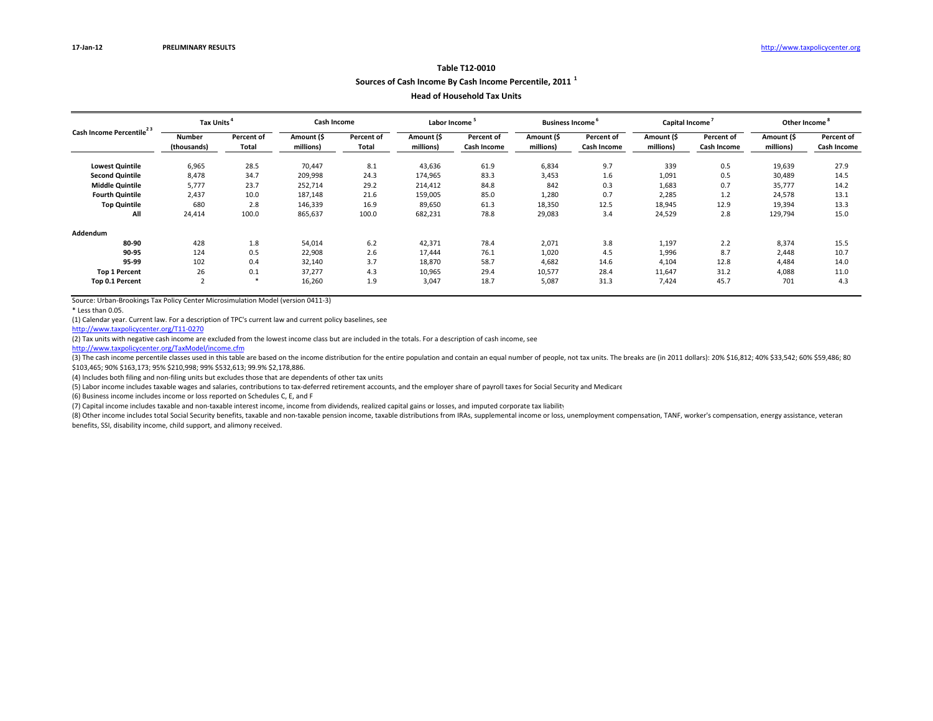# **Sources of Cash Income By Cash Income Percentile, <sup>2011</sup> <sup>1</sup>**

#### **Head of Household Tax Units**

|                                      | Tax Units <sup>4</sup> |            | Cash Income |            | Labor Income |             | <b>Business Income</b> |             | Capital Income |             | Other Income <sup>°</sup> |             |
|--------------------------------------|------------------------|------------|-------------|------------|--------------|-------------|------------------------|-------------|----------------|-------------|---------------------------|-------------|
| Cash Income Percentile <sup>23</sup> | <b>Number</b>          | Percent of | Amount (\$  | Percent of | Amount (\$   | Percent of  | Amount (\$             | Percent of  | Amount (\$     | Percent of  | Amount (\$                | Percent of  |
|                                      | (thousands)            | Total      | millions)   | Total      | millions)    | Cash Income | millions)              | Cash Income | millions)      | Cash Income | millions)                 | Cash Income |
| <b>Lowest Quintile</b>               | 6,965                  | 28.5       | 70,447      | 8.1        | 43,636       | 61.9        | 6,834                  | 9.7         | 339            | 0.5         | 19,639                    | 27.9        |
| <b>Second Quintile</b>               | 8,478                  | 34.7       | 209,998     | 24.3       | 174,965      | 83.3        | 3,453                  | 1.6         | 1,091          | 0.5         | 30,489                    | 14.5        |
| <b>Middle Quintile</b>               | 5,777                  | 23.7       | 252,714     | 29.2       | 214,412      | 84.8        | 842                    | 0.3         | 1,683          | 0.7         | 35,777                    | 14.2        |
| <b>Fourth Quintile</b>               | 2,437                  | 10.0       | 187,148     | 21.6       | 159,005      | 85.0        | 1,280                  | 0.7         | 2,285          | 1.2         | 24,578                    | 13.1        |
| <b>Top Quintile</b>                  | 680                    | 2.8        | 146,339     | 16.9       | 89,650       | 61.3        | 18,350                 | 12.5        | 18,945         | 12.9        | 19,394                    | 13.3        |
| All                                  | 24,414                 | 100.0      | 865,637     | 100.0      | 682,231      | 78.8        | 29,083                 | 3.4         | 24,529         | 2.8         | 129,794                   | 15.0        |
| Addendum                             |                        |            |             |            |              |             |                        |             |                |             |                           |             |
| 80-90                                | 428                    | 1.8        | 54,014      | 6.2        | 42,371       | 78.4        | 2,071                  | 3.8         | 1,197          | 2.2         | 8,374                     | 15.5        |
| 90-95                                | 124                    | 0.5        | 22,908      | 2.6        | 17.444       | 76.1        | 1,020                  | 4.5         | 1,996          | 8.7         | 2,448                     | 10.7        |
| 95-99                                | 102                    | 0.4        | 32,140      | 3.7        | 18,870       | 58.7        | 4,682                  | 14.6        | 4,104          | 12.8        | 4,484                     | 14.0        |
| <b>Top 1 Percent</b>                 | 26                     | 0.1        | 37,277      | 4.3        | 10,965       | 29.4        | 10,577                 | 28.4        | 11,647         | 31.2        | 4,088                     | 11.0        |
| Top 0.1 Percent                      | $\overline{2}$         | *          | 16,260      | 1.9        | 3,047        | 18.7        | 5,087                  | 31.3        | 7,424          | 45.7        | 701                       | 4.3         |

Source: Urban‐Brookings Tax Policy Center Microsimulation Model (version 0411‐3)

\* Less than 0.05.

(1) Calendar year. Current law. For <sup>a</sup> description of TPC's current law and current policy baselines, see

http://www.taxpolicycenter.org/T11‐0270

(2) Tax units with negative cash income are excluded from the lowest income class but are included in the totals. For <sup>a</sup> description of cash income, see

http://www.taxpolicycenter.org/TaxModel/income.cfm

(3) The cash income percentile classes used in this table are based on the income distribution for the entire population and contain an equal number of people, not tax units. The breaks are (in 2011 dollars): 20% \$16,812; \$103,465; 90% \$163,173; 95% \$210,998; 99% \$532,613; 99.9% \$2,178,886.

(4) Includes both filing and non-filing units but excludes those that are dependents of other tax units

(5) Labor income includes taxable wages and salaries, contributions to tax‐deferred retirement accounts, and the employer share of payroll taxes for Social Security and Medicare

(6) Business income includes income or loss reported on Schedules C, E, and F

(7) Capital income includes taxable and non‐taxable interest income, income from dividends, realized capital gains or losses, and imputed corporate tax liability

(8) Other income includes total Social Security benefits, taxable and non-taxable pension income, taxable distributions from IRAs, supplemental income or loss, unemployment compensation, TANF, worker's compensation, energy benefits, SSI, disability income, child support, and alimony received.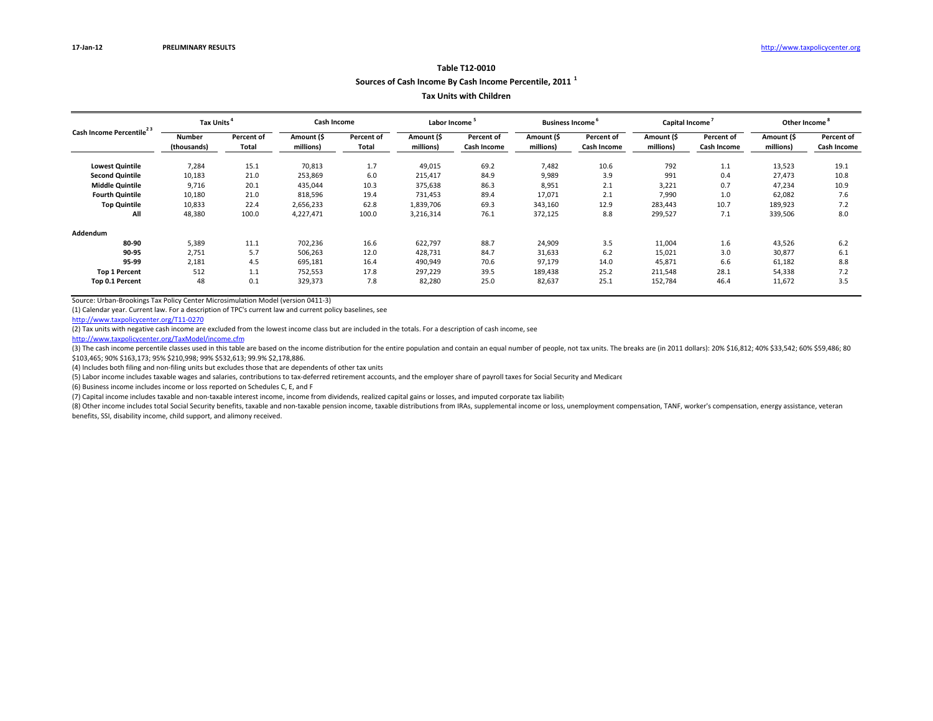## **Sources of Cash Income By Cash Income Percentile, <sup>2011</sup> <sup>1</sup>**

#### **Tax Units with Children**

|                                      | Tax Units <sup>4</sup> |                   | Cash Income |            | Labor Income |                   | <b>Business Income</b> |             | Capital Income |                                                                                                                                                                                      | Other Income <sup>°</sup> |            |
|--------------------------------------|------------------------|-------------------|-------------|------------|--------------|-------------------|------------------------|-------------|----------------|--------------------------------------------------------------------------------------------------------------------------------------------------------------------------------------|---------------------------|------------|
| Cash Income Percentile <sup>23</sup> | <b>Number</b>          | <b>Percent of</b> | Amount (\$  | Percent of | Amount (\$   | <b>Percent of</b> | Amount (\$             | Percent of  | Amount (\$     | Percent of                                                                                                                                                                           | Amount (\$                | Percent of |
|                                      | (thousands)            | Total             | millions)   | Total      | millions)    | Cash Income       | millions)              | Cash Income | millions)      | millions)<br>Cash Income<br>13,523<br>1.1<br>0.4<br>27,473<br>0.7<br>47,234<br>1.0<br>62,082<br>10.7<br>189,923<br>7.1<br>339,506<br>1.6<br>43,526<br>3.0<br>30,877<br>6.6<br>61,182 | Cash Income               |            |
| <b>Lowest Quintile</b>               | 7,284                  | 15.1              | 70,813      | 1.7        | 49,015       | 69.2              | 7,482                  | 10.6        | 792            |                                                                                                                                                                                      |                           | 19.1       |
| <b>Second Quintile</b>               | 10,183                 | 21.0              | 253,869     | 6.0        | 215,417      | 84.9              | 9,989                  | 3.9         | 991            |                                                                                                                                                                                      |                           | 10.8       |
| <b>Middle Quintile</b>               | 9,716                  | 20.1              | 435,044     | 10.3       | 375,638      | 86.3              | 8,951                  | 2.1         | 3,221          |                                                                                                                                                                                      |                           | 10.9       |
| <b>Fourth Quintile</b>               | 10,180                 | 21.0              | 818,596     | 19.4       | 731,453      | 89.4              | 17,071                 | 2.1         | 7,990          |                                                                                                                                                                                      |                           | 7.6        |
| <b>Top Quintile</b>                  | 10,833                 | 22.4              | 2,656,233   | 62.8       | 1,839,706    | 69.3              | 343,160                | 12.9        | 283,443        |                                                                                                                                                                                      |                           | 7.2        |
| All                                  | 48,380                 | 100.0             | 4,227,471   | 100.0      | 3,216,314    | 76.1              | 372,125                | 8.8         | 299,527        |                                                                                                                                                                                      |                           | 8.0        |
| Addendum                             |                        |                   |             |            |              |                   |                        |             |                |                                                                                                                                                                                      |                           |            |
| 80-90                                | 5,389                  | 11.1              | 702,236     | 16.6       | 622,797      | 88.7              | 24,909                 | 3.5         | 11,004         |                                                                                                                                                                                      |                           | 6.2        |
| 90-95                                | 2,751                  | 5.7               | 506,263     | 12.0       | 428,731      | 84.7              | 31,633                 | 6.2         | 15,021         |                                                                                                                                                                                      |                           | 6.1        |
| 95-99                                | 2,181                  | 4.5               | 695,181     | 16.4       | 490,949      | 70.6              | 97,179                 | 14.0        | 45,871         |                                                                                                                                                                                      |                           | 8.8        |
| <b>Top 1 Percent</b>                 | 512                    | 1.1               | 752,553     | 17.8       | 297,229      | 39.5              | 189,438                | 25.2        | 211,548        | 28.1                                                                                                                                                                                 | 54,338                    | 7.2        |
| Top 0.1 Percent                      | 48                     | 0.1               | 329,373     | 7.8        | 82,280       | 25.0              | 82,637                 | 25.1        | 152,784        | 46.4                                                                                                                                                                                 | 11,672                    | 3.5        |

Source: Urban‐Brookings Tax Policy Center Microsimulation Model (version 0411‐3)

(1) Calendar year. Current law. For <sup>a</sup> description of TPC's current law and current policy baselines, see

http://www.taxpolicycenter.org/T11‐0270

(2) Tax units with negative cash income are excluded from the lowest income class but are included in the totals. For <sup>a</sup> description of cash income, see

http://www.taxpolicycenter.org/TaxModel/income.cfm

(3) The cash income percentile classes used in this table are based on the income distribution for the entire population and contain an equal number of people, not tax units. The breaks are (in 2011 dollars): 20% \$16,812; \$103,465; 90% \$163,173; 95% \$210,998; 99% \$532,613; 99.9% \$2,178,886.

(4) Includes both filing and non-filing units but excludes those that are dependents of other tax units

(5) Labor income includes taxable wages and salaries, contributions to tax‐deferred retirement accounts, and the employer share of payroll taxes for Social Security and Medicare

(6) Business income includes income or loss reported on Schedules C, E, and F

(7) Capital income includes taxable and non‐taxable interest income, income from dividends, realized capital gains or losses, and imputed corporate tax liability

(8) Other income includes total Social Security benefits, taxable and non-taxable pension income, taxable distributions from IRAs, supplemental income or loss, unemployment compensation, TANF, worker's compensation, energy

benefits, SSI, disability income, child support, and alimony received.